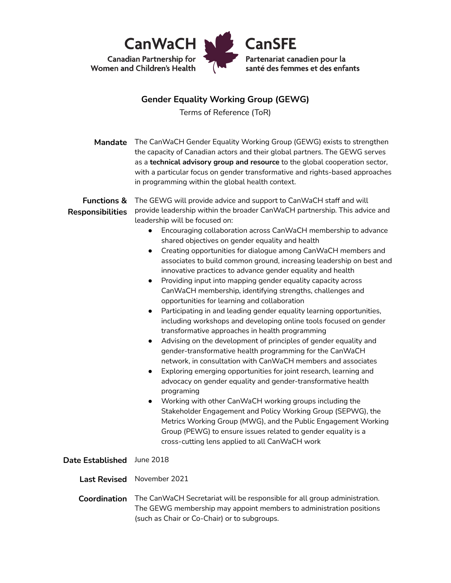

## **Gender Equality Working Group (GEWG)**

Terms of Reference (ToR)

| Mandate<br><b>Functions &amp;</b><br><b>Responsibilities</b> | The CanWaCH Gender Equality Working Group (GEWG) exists to strengthen<br>the capacity of Canadian actors and their global partners. The GEWG serves<br>as a technical advisory group and resource to the global cooperation sector,<br>with a particular focus on gender transformative and rights-based approaches<br>in programming within the global health context.<br>The GEWG will provide advice and support to CanWaCH staff and will<br>provide leadership within the broader CanWaCH partnership. This advice and                                                                                                                                                                                                                                                                                                                                                                                                                                                                                                                                                                                                                                                                                                                                                                                                                                                                                                                                                              |
|--------------------------------------------------------------|------------------------------------------------------------------------------------------------------------------------------------------------------------------------------------------------------------------------------------------------------------------------------------------------------------------------------------------------------------------------------------------------------------------------------------------------------------------------------------------------------------------------------------------------------------------------------------------------------------------------------------------------------------------------------------------------------------------------------------------------------------------------------------------------------------------------------------------------------------------------------------------------------------------------------------------------------------------------------------------------------------------------------------------------------------------------------------------------------------------------------------------------------------------------------------------------------------------------------------------------------------------------------------------------------------------------------------------------------------------------------------------------------------------------------------------------------------------------------------------|
|                                                              | leadership will be focused on:<br>Encouraging collaboration across CanWaCH membership to advance<br>shared objectives on gender equality and health<br>Creating opportunities for dialogue among CanWaCH members and<br>$\bullet$<br>associates to build common ground, increasing leadership on best and<br>innovative practices to advance gender equality and health<br>Providing input into mapping gender equality capacity across<br>$\bullet$<br>CanWaCH membership, identifying strengths, challenges and<br>opportunities for learning and collaboration<br>Participating in and leading gender equality learning opportunities,<br>$\bullet$<br>including workshops and developing online tools focused on gender<br>transformative approaches in health programming<br>Advising on the development of principles of gender equality and<br>$\bullet$<br>gender-transformative health programming for the CanWaCH<br>network, in consultation with CanWaCH members and associates<br>Exploring emerging opportunities for joint research, learning and<br>$\bullet$<br>advocacy on gender equality and gender-transformative health<br>programing<br>Working with other CanWaCH working groups including the<br>$\bullet$<br>Stakeholder Engagement and Policy Working Group (SEPWG), the<br>Metrics Working Group (MWG), and the Public Engagement Working<br>Group (PEWG) to ensure issues related to gender equality is a<br>cross-cutting lens applied to all CanWaCH work |
| Date Established June 2018                                   |                                                                                                                                                                                                                                                                                                                                                                                                                                                                                                                                                                                                                                                                                                                                                                                                                                                                                                                                                                                                                                                                                                                                                                                                                                                                                                                                                                                                                                                                                          |
| <b>Last Revised</b>                                          | November 2021                                                                                                                                                                                                                                                                                                                                                                                                                                                                                                                                                                                                                                                                                                                                                                                                                                                                                                                                                                                                                                                                                                                                                                                                                                                                                                                                                                                                                                                                            |
| Coordination                                                 | The CanWaCH Secretariat will be responsible for all group administration.<br>The GEWG membership may appoint members to administration positions<br>(such as Chair or Co-Chair) or to subgroups.                                                                                                                                                                                                                                                                                                                                                                                                                                                                                                                                                                                                                                                                                                                                                                                                                                                                                                                                                                                                                                                                                                                                                                                                                                                                                         |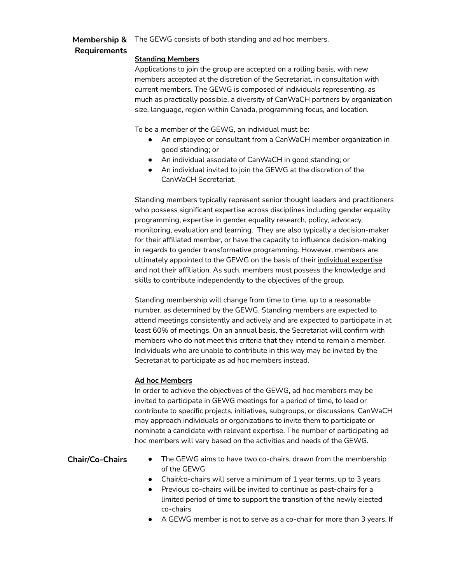#### **Membership &** The GEWG consists of both standing and ad hoc members.

# **Requirements**

### **Standing Members**

Applications to join the group are accepted on a rolling basis, with new members accepted at the discretion of the Secretariat, in consultation with current members. The GEWG is composed of individuals representing, as much as practically possible, a diversity of CanWaCH partners by organization size, language, region within Canada, programming focus, and location.

To be a member of the GEWG, an individual must be:

- An employee or consultant from a CanWaCH member organization in good standing; or
- An individual associate of CanWaCH in good standing; or
- An individual invited to join the GEWG at the discretion of the CanWaCH Secretariat.

Standing members typically represent senior thought leaders and practitioners who possess significant expertise across disciplines including gender equality programming, expertise in gender equality research, policy, advocacy, monitoring, evaluation and learning. They are also typically a decision-maker for their affiliated member, or have the capacity to influence decision-making in regards to gender transformative programming. However, members are ultimately appointed to the GEWG on the basis of their individual expertise and not their affiliation. As such, members must possess the knowledge and skills to contribute independently to the objectives of the group.

Standing membership will change from time to time, up to a reasonable number, as determined by the GEWG. Standing members are expected to attend meetings consistently and actively and are expected to participate in at least 60% of meetings. On an annual basis, the Secretariat will confirm with members who do not meet this criteria that they intend to remain a member. Individuals who are unable to contribute in this way may be invited by the Secretariat to participate as ad hoc members instead.

## **Ad hoc Members**

In order to achieve the objectives of the GEWG, ad hoc members may be invited to participate in GEWG meetings for a period of time, to lead or contribute to specific projects, initiatives, subgroups, or discussions. CanWaCH may approach individuals or organizations to invite them to participate or nominate a candidate with relevant expertise. The number of participating ad hoc members will vary based on the activities and needs of the GEWG.

- **Chair/Co-Chairs** The GEWG aims to have two co-chairs, drawn from the membership of the GEWG
	- Chair/co-chairs will serve a minimum of 1 year terms, up to 3 years
	- Previous co-chairs will be invited to continue as past-chairs for a limited period of time to support the transition of the newly elected co-chairs
	- A GEWG member is not to serve as a co-chair for more than 3 years. If